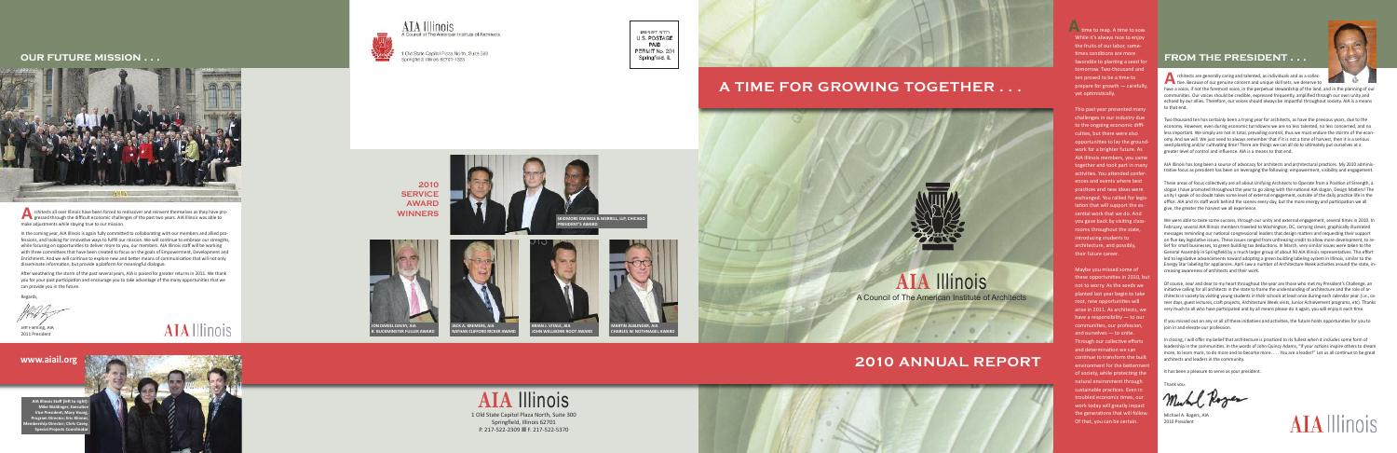# **0UR FUTURE MISSION . . .**



rchitects all over Illinois have been forced to rediscover and reinvent themselves as they have progressed through the difficult economic challenges of the past two years. AIA Illinois was able to make adjustments while staying true to our mission.

In the coming year, AIA Illinois is again fully committed to collaborating with our members and allied professions, and looking for innovative ways to fulfill our mission. We will continue to embrace our strengths, while focusing on opportunities to deliver more to you, our members. AIA Illinois staff will be working with three committees that have been created to focus on the goals of Empowerment, Development and Enrichment. And we will continue to explore new and better means of communication that will not only disseminate information, but provide a platform for meaningful dialogue. **Aware Strategier 1997**<br>
In the creation while fixed with the Enrichment of Benefit 1997<br>
After we you for can provided the PE DE 2011 PM<br>
Jeff Fle 2011 PM

After weathering the storm of the past several years, AIA is poised for greater returns in 2011. We thank you for your past participation and encourage you to take advantage of the many opportunities that we can provide you in the future.

> Thank you ,

Muhl Roger

Michael A. Rogers, AIA 2010 President



AIA Illinois Staff (left to righ **t ) Mike Waldinger, Executi v e Vice President; Mary Youn g ,** Program Director; Eric Klinn **e r, M e m b** ership Director; Chris Case **y, Special Projects Coord i n a t o r**





AIA Illinois Council of The American Institute of Architects

Old State Capitol Plaza North, Suite 300 Springfield, Illinois 62701-1323

**J O N D A NIEL DAVEY, AIA R B U C KMINSTER FULLER AWA** 

# **2 0 1 0 SERVICE AWA R D WINNERS**

R e g a r d s

,

Jeff Fleming, AIA 2011 President

# **AIA** Illinois

# **w . a i a i l . o r g**



**R D**

PRSRT STD U.S. POSTAGE **PAID** PERMIT No. 204 Springfield, IL



# A TIME FOR GROWING TOGETHER . . .

MORE OWINGS & MERRILL, LLP, CHICAGO



**MARTIN ALBLINGER, AIA C HARLES W. NOTHNAGEL AWA** 

**D**

**NATHAN CLIFFORD RICKER AWAR** 

**R D**



# **AIA Illinois**

A Council of The American Institute of Architects

# **2010 ANNUAL REPORT**



time to reap. A time to sow. While it's always nice to enjoy the fruits of our labor, sometimes conditions are more favorable to planting a seed fo r tomorrow. Two-thousand and ten proved to be a time to prepare for growth - carefully, yet optimistically.

This past year presented many challenges in our industry due to the ongoing economic difficulties, but there were also opportunities to lay the groun d work for a brighter future. As AIA Illinois members, you came together and took part in many activities. You attended confer ences and events where best practices and new ideas were exchanged. You rallied for legislation that will support the es sential work that we do. And you gave back by visiting class rooms throughout the state, introducing students to architecture, and possibly, their future career.

Maybe you missed some of these opportunities in 2010, but not to worry. As the seeds we planted last year begin to take root, new opportunities will arise in 2011. As architects, we have a responsibility  $-$  to our communities, our profession, and ourselves - to unite. Through our collective efforts and determination we can continue to transform the built environment for the bettermen t of society, while protecting the natural environment through sustainable practices. Even in troubled economic times, our work today will greatly impact the generations that will follow. Of that, you can be certain.

# FROM THE PRESIDENT . . .



rchitects are generally caring and talented, as individuals and as a collective.<br>
tive. Because of our genuine concern and unique skill sets, we deserve to<br>
the a set of the ferment science is the associated strugglable of tive. Because of our genuine concern and unique skill sets, we deserve to

have a voice, if not the foremost voice, in the perpetual stewardship of the land, and in the planning of our communities. Our voices should be credible, expressed frequently, amplified through our own unity and echoed by our allies. Therefore, our voices should always be impactful throughout society. AIA is a means to that end.

Two thousand ten has certainly been a trying year for architects, as have the previous years, due to the economy. However, even during economic turndowns we are no less talented, no less concerned, and no less important. We simply are not in total, prevailing control, thus we must endure the storms of the economy. And we will. We just need to always remember that if it is not a time of harvest, then it is a serious seed planting and/or cultivating time! There are things we can all do to ultimately put ourselves at a greater level of control and influence. AIA is a means to that end.

AIA Illinois has long been a source of advocacy for architects and architectural practices. My 2010 administrative focus as president has been on leveraging the following: empowerment, visibility and engagement.

These areas of focus collectively are all about Unifying Architects to Operate from a Position of Strength, a slogan I have promoted throughout the year to go along with the national AIA slogan, Design Matters! The unity I speak of no doubt takes some level of external engagement, outside of the daily practice life in the office. AIA and its staff work behind the scenes every day, but the more energy and participation we all give, the greater the harvest we all experience.

We were able to taste some success, through our unity and external engagement, several times in 2010. In February, several AIA Illinois members traveled to Washington, DC, carrying clever, graphically-illustrated messages reminding our national congressional leaders that design matters and requesting their support on five key legislative issues. These issues ranged from unfreezing credit to allow more development, to relief for small businesses, to green building tax deductions. In March, very similar issues were taken to the General Assembly in Springfield by a much larger group of about 90 AIA Illinois representatives. This effort led to legislative advancements toward adopting a green building labeling system in Illinois, similar to the Energy Star labeling for appliances. April saw a number of Architecture Week activities around the state, increasing awareness of architects and their work.

Of course, near and dear to my heart throughout the year are those who met my President's Challenge, an initiative calling for all architects in the state to frame the understanding of architecture and the role of architects in society by visiting young students in their schools at least once during each calendar year. (i.e., career days, guest lectures, craft projects, Architecture Week visits, Junior Achievement programs, etc). Thanks very much to all who have participated and by all means please do it again, you will enjoy it each time.

If you missed out on any or all of these initiatives and activities, the future holds opportunities for you to join in and elevate our profession.

In closing, I will offer my belief that architecture is practiced to its fullest when it includes some form of leadership in the communities. In the words of John Quincy Adams, "If your actions inspire others to dream more, to learn more, to do more and to become more. . . . You are a leader!" Let us all continue to be great architects and leaders in the community.

It has been a pleasure to serve as your president.



**JOHN WELLBORN ROOT AWA** 

**R D**